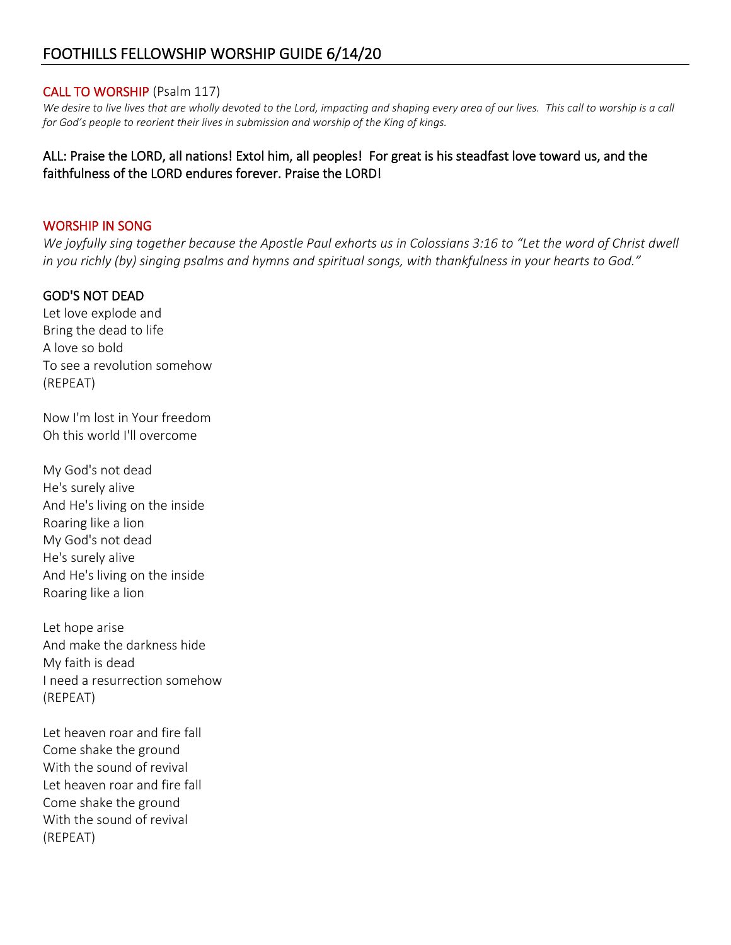# FOOTHILLS FELLOWSHIP WORSHIP GUIDE 6/14/20

## CALL TO WORSHIP (Psalm 117)

*We desire to live lives that are wholly devoted to the Lord, impacting and shaping every area of our lives. This call to worship is a call for God's people to reorient their lives in submission and worship of the King of kings.*

# ALL: Praise the LORD, all nations! Extol him, all peoples! For great is his steadfast love toward us, and the faithfulness of the LORD endures forever. Praise the LORD!

#### WORSHIP IN SONG

*We joyfully sing together because the Apostle Paul exhorts us in Colossians 3:16 to "Let the word of Christ dwell in you richly (by) singing psalms and hymns and spiritual songs, with thankfulness in your hearts to God."*

## GOD'S NOT DEAD

Let love explode and Bring the dead to life A love so bold To see a revolution somehow (REPEAT)

Now I'm lost in Your freedom Oh this world I'll overcome

My God's not dead He's surely alive And He's living on the inside Roaring like a lion My God's not dead He's surely alive And He's living on the inside Roaring like a lion

Let hope arise And make the darkness hide My faith is dead I need a resurrection somehow (REPEAT)

Let heaven roar and fire fall Come shake the ground With the sound of revival Let heaven roar and fire fall Come shake the ground With the sound of revival (REPEAT)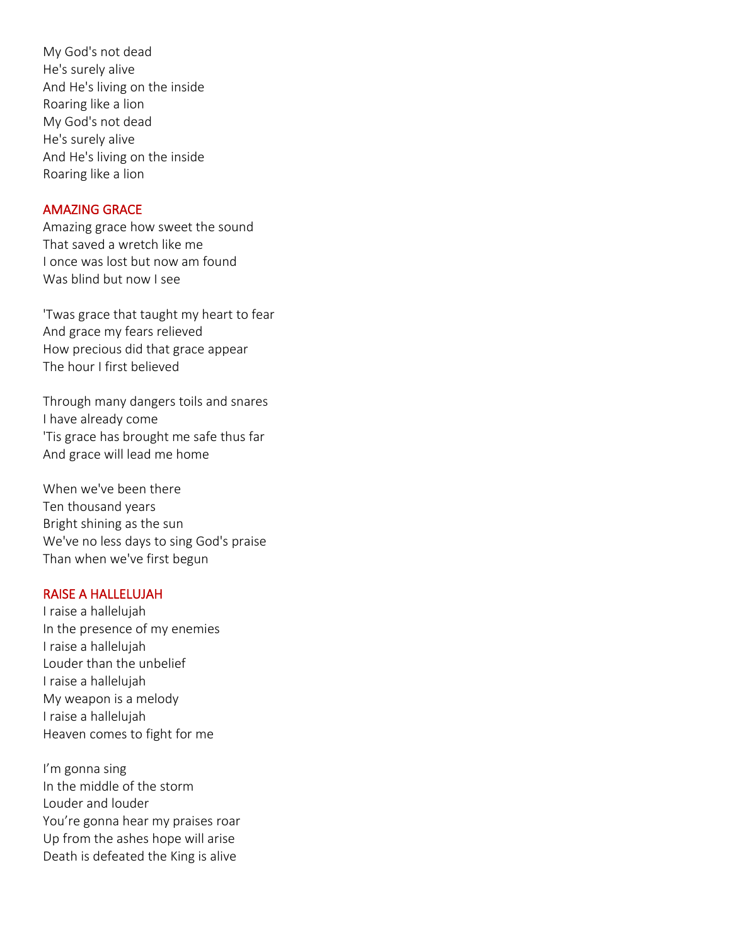My God's not dead He's surely alive And He's living on the inside Roaring like a lion My God's not dead He's surely alive And He's living on the inside Roaring like a lion

## AMAZING GRACE

Amazing grace how sweet the sound That saved a wretch like me I once was lost but now am found Was blind but now I see

'Twas grace that taught my heart to fear And grace my fears relieved How precious did that grace appear The hour I first believed

Through many dangers toils and snares I have already come 'Tis grace has brought me safe thus far And grace will lead me home

When we've been there Ten thousand years Bright shining as the sun We've no less days to sing God's praise Than when we've first begun

## RAISE A HALLELUJAH

I raise a hallelujah In the presence of my enemies I raise a hallelujah Louder than the unbelief I raise a hallelujah My weapon is a melody I raise a hallelujah Heaven comes to fight for me

I'm gonna sing In the middle of the storm Louder and louder You're gonna hear my praises roar Up from the ashes hope will arise Death is defeated the King is alive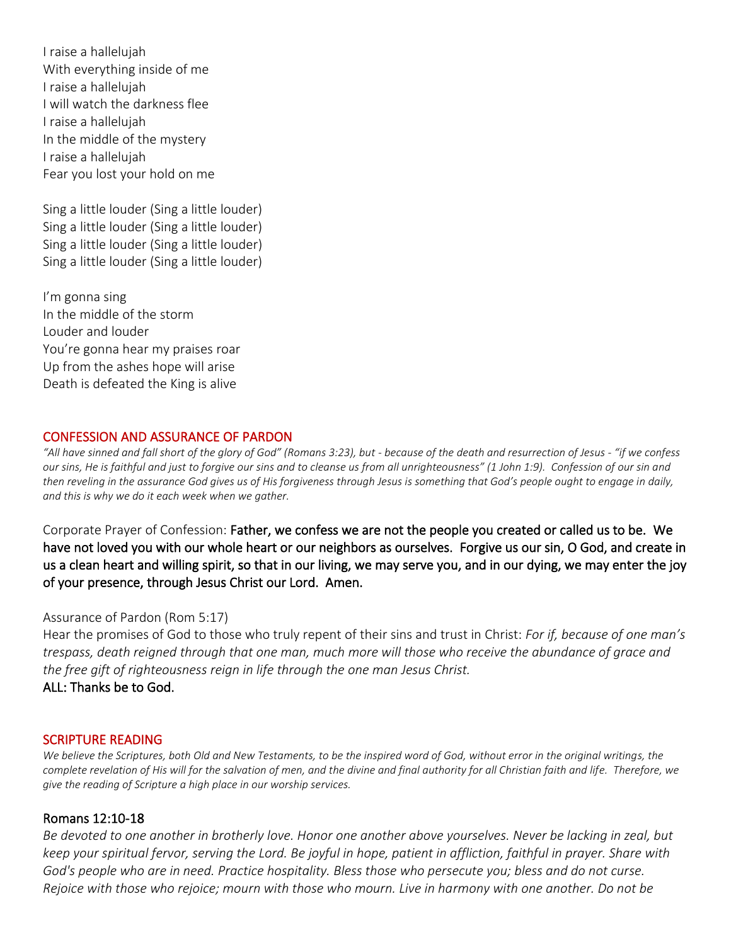I raise a hallelujah With everything inside of me I raise a hallelujah I will watch the darkness flee I raise a hallelujah In the middle of the mystery I raise a hallelujah Fear you lost your hold on me

Sing a little louder (Sing a little louder) Sing a little louder (Sing a little louder) Sing a little louder (Sing a little louder) Sing a little louder (Sing a little louder)

I'm gonna sing In the middle of the storm Louder and louder You're gonna hear my praises roar Up from the ashes hope will arise Death is defeated the King is alive

## CONFESSION AND ASSURANCE OF PARDON

"All have sinned and fall short of the glory of God" (Romans 3:23), but - because of the death and resurrection of Jesus - "if we confess *our sins, He is faithful and just to forgive our sins and to cleanse us from all unrighteousness" (1 John 1:9). Confession of our sin and then reveling in the assurance God gives us of His forgiveness through Jesus is something that God's people ought to engage in daily, and this is why we do it each week when we gather.*

Corporate Prayer of Confession: Father, we confess we are not the people you created or called us to be. We have not loved you with our whole heart or our neighbors as ourselves. Forgive us our sin, O God, and create in us a clean heart and willing spirit, so that in our living, we may serve you, and in our dying, we may enter the joy of your presence, through Jesus Christ our Lord. Amen.

## Assurance of Pardon (Rom 5:17)

Hear the promises of God to those who truly repent of their sins and trust in Christ: *For if, because of one man's trespass, death reigned through that one man, much more will those who receive the abundance of grace and the free gift of righteousness reign in life through the one man Jesus Christ.*

ALL: Thanks be to God.

## SCRIPTURE READING

*We believe the Scriptures, both Old and New Testaments, to be the inspired word of God, without error in the original writings, the complete revelation of His will for the salvation of men, and the divine and final authority for all Christian faith and life. Therefore, we give the reading of Scripture a high place in our worship services.*

#### Romans 12:10-18

*Be devoted to one another in brotherly love. Honor one another above yourselves. Never be lacking in zeal, but keep your spiritual fervor, serving the Lord. Be joyful in hope, patient in affliction, faithful in prayer. Share with God's people who are in need. Practice hospitality. Bless those who persecute you; bless and do not curse. Rejoice with those who rejoice; mourn with those who mourn. Live in harmony with one another. Do not be*